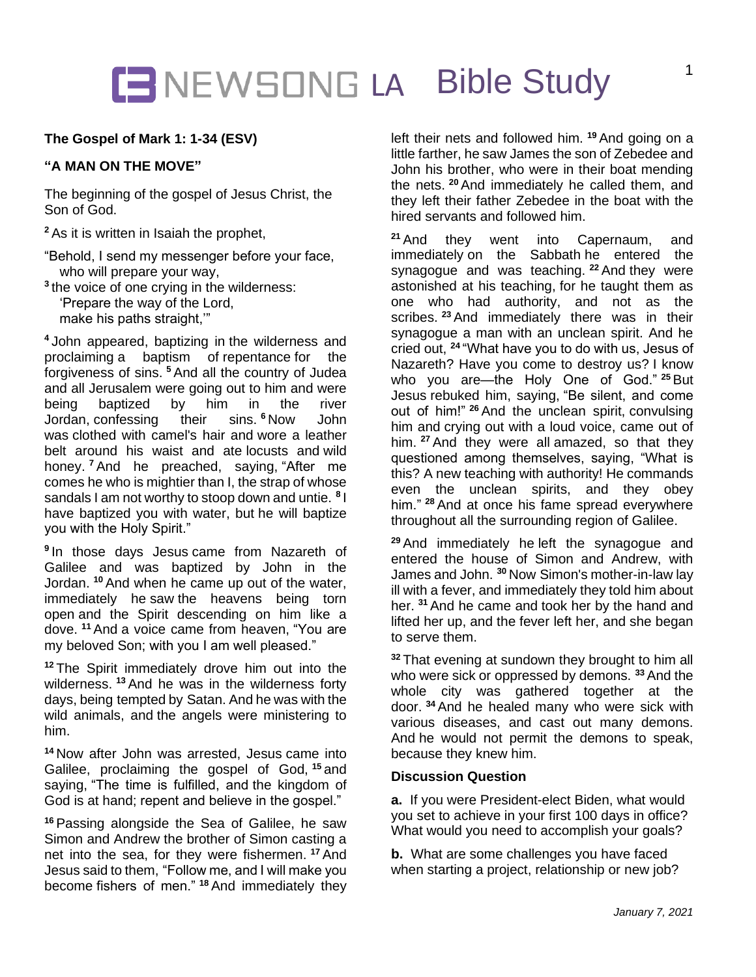## NEWSONG LA Bible Study

## **The Gospel of Mark 1: 1-34 (ESV)**

### **"A MAN ON THE MOVE"**

The beginning of the gospel of Jesus Christ, the Son of God.

**<sup>2</sup>** As it is written in Isaiah the prophet,

- "Behold, I send my messenger before your face, who will prepare your way,
- **3** the voice of one crying in the wilderness: 'Prepare the way of the Lord, make his paths straight,'"

**<sup>4</sup>** John appeared, baptizing in the wilderness and proclaiming a baptism of repentance for the forgiveness of sins. **<sup>5</sup>** And all the country of Judea and all Jerusalem were going out to him and were being baptized by him in the river Jordan, confessing their sins. **<sup>6</sup>** Now John was clothed with camel's hair and wore a leather belt around his waist and ate locusts and wild honey. **<sup>7</sup>** And he preached, saying, "After me comes he who is mightier than I, the strap of whose sandals I am not worthy to stoop down and untie. **<sup>8</sup>** I have baptized you with water, but he will baptize you with the Holy Spirit."

**9** In those days Jesus came from Nazareth of Galilee and was baptized by John in the Jordan. **<sup>10</sup>** And when he came up out of the water, immediately he saw the heavens being torn open and the Spirit descending on him like a dove. **<sup>11</sup>** And a voice came from heaven, "You are my beloved Son; with you I am well pleased."

**<sup>12</sup>** The Spirit immediately drove him out into the wilderness. **<sup>13</sup>** And he was in the wilderness forty days, being tempted by Satan. And he was with the wild animals, and the angels were ministering to him.

**<sup>14</sup>** Now after John was arrested, Jesus came into Galilee, proclaiming the gospel of God, **<sup>15</sup>** and saying, "The time is fulfilled, and the kingdom of God is at hand; repent and believe in the gospel."

**<sup>16</sup>** Passing alongside the Sea of Galilee, he saw Simon and Andrew the brother of Simon casting a net into the sea, for they were fishermen. **<sup>17</sup>** And Jesus said to them, "Follow me, and I will make you become fishers of men." **<sup>18</sup>** And immediately they left their nets and followed him. **<sup>19</sup>** And going on a little farther, he saw James the son of Zebedee and John his brother, who were in their boat mending the nets. **<sup>20</sup>** And immediately he called them, and they left their father Zebedee in the boat with the hired servants and followed him.

**<sup>21</sup>** And they went into Capernaum, and immediately on the Sabbath he entered the synagogue and was teaching. **<sup>22</sup>** And they were astonished at his teaching, for he taught them as one who had authority, and not as the scribes. **<sup>23</sup>** And immediately there was in their synagogue a man with an unclean spirit. And he cried out, **<sup>24</sup>** "What have you to do with us, Jesus of Nazareth? Have you come to destroy us? I know who you are—the Holy One of God." **<sup>25</sup>** But Jesus rebuked him, saying, "Be silent, and come out of him!" **<sup>26</sup>** And the unclean spirit, convulsing him and crying out with a loud voice, came out of him. **<sup>27</sup>** And they were all amazed, so that they questioned among themselves, saying, "What is this? A new teaching with authority! He commands even the unclean spirits, and they obey him." **<sup>28</sup>** And at once his fame spread everywhere throughout all the surrounding region of Galilee.

**<sup>29</sup>** And immediately he left the synagogue and entered the house of Simon and Andrew, with James and John. **<sup>30</sup>** Now Simon's mother-in-law lay ill with a fever, and immediately they told him about her. **<sup>31</sup>** And he came and took her by the hand and lifted her up, and the fever left her, and she began to serve them.

**<sup>32</sup>** That evening at sundown they brought to him all who were sick or oppressed by demons. **<sup>33</sup>** And the whole city was gathered together at the door. **<sup>34</sup>** And he healed many who were sick with various diseases, and cast out many demons. And he would not permit the demons to speak, because they knew him.

## **Discussion Question**

**a.** If you were President-elect Biden, what would you set to achieve in your first 100 days in office? What would you need to accomplish your goals?

**b.** What are some challenges you have faced when starting a project, relationship or new job?